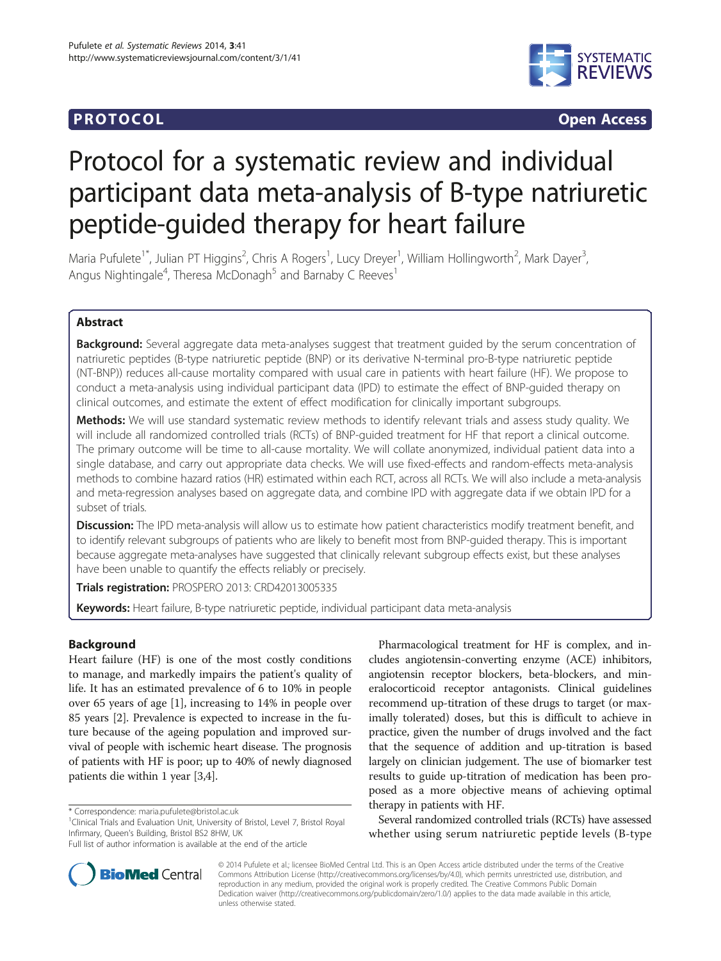# **PROTOCOL CONSUMING ACCESS CONSUMING ACCESS**



# Protocol for a systematic review and individual participant data meta-analysis of B-type natriuretic peptide-guided therapy for heart failure

Maria Pufulete<sup>1\*</sup>, Julian PT Higgins<sup>2</sup>, Chris A Rogers<sup>1</sup>, Lucy Dreyer<sup>1</sup>, William Hollingworth<sup>2</sup>, Mark Dayer<sup>3</sup> , Angus Nightingale<sup>4</sup>, Theresa McDonagh<sup>5</sup> and Barnaby C Reeves<sup>1</sup>

# Abstract

Background: Several aggregate data meta-analyses suggest that treatment guided by the serum concentration of natriuretic peptides (B-type natriuretic peptide (BNP) or its derivative N-terminal pro-B-type natriuretic peptide (NT-BNP)) reduces all-cause mortality compared with usual care in patients with heart failure (HF). We propose to conduct a meta-analysis using individual participant data (IPD) to estimate the effect of BNP-guided therapy on clinical outcomes, and estimate the extent of effect modification for clinically important subgroups.

Methods: We will use standard systematic review methods to identify relevant trials and assess study quality. We will include all randomized controlled trials (RCTs) of BNP-guided treatment for HF that report a clinical outcome. The primary outcome will be time to all-cause mortality. We will collate anonymized, individual patient data into a single database, and carry out appropriate data checks. We will use fixed-effects and random-effects meta-analysis methods to combine hazard ratios (HR) estimated within each RCT, across all RCTs. We will also include a meta-analysis and meta-regression analyses based on aggregate data, and combine IPD with aggregate data if we obtain IPD for a subset of trials.

Discussion: The IPD meta-analysis will allow us to estimate how patient characteristics modify treatment benefit, and to identify relevant subgroups of patients who are likely to benefit most from BNP-guided therapy. This is important because aggregate meta-analyses have suggested that clinically relevant subgroup effects exist, but these analyses have been unable to quantify the effects reliably or precisely.

Trials registration: PROSPERO 2013: [CRD42013005335](http://creativecommons.org/licenses/by/4.0)

Keywords: Heart failure, B-type natriuretic peptide, individual participant data meta-analysis

# Background

Heart failure (HF) is one of the most costly conditions to manage, and markedly impairs the patient's quality of life. It has an estimated prevalence of 6 to 10% in people over 65 years of age [[1\]](#page-6-0), increasing to 14% in people over 85 years [\[2](#page-6-0)]. Prevalence is expected to increase in the future because of the ageing population and improved survival of people with ischemic heart disease. The prognosis of patients with HF is poor; up to 40% of newly diagnosed patients die within 1 year [\[3,4\]](#page-6-0).

Pharmacological treatment for HF is complex, and includes angiotensin-converting enzyme (ACE) inhibitors, angiotensin receptor blockers, beta-blockers, and mineralocorticoid receptor antagonists. Clinical guidelines recommend up-titration of these drugs to target (or maximally tolerated) doses, but this is difficult to achieve in practice, given the number of drugs involved and the fact that the sequence of addition and up-titration is based largely on clinician judgement. The use of biomarker test results to guide up-titration of medication has been proposed as a more objective means of achieving optimal therapy in patients with HF.

Several randomized controlled trials (RCTs) have assessed whether using serum natriuretic peptide levels (B-type



© 2014 Pufulete et al.; licensee BioMed Central Ltd. This is an Open Access article distributed under the terms of the Creative Commons Attribution License [\(http://creativecommons.org/licenses/by/4.0\)](http://creativecommons.org/licenses/by/4.0), which permits unrestricted use, distribution, and reproduction in any medium, provided the original work is properly credited. The Creative Commons Public Domain Dedication waiver [\(http://creativecommons.org/publicdomain/zero/1.0/](http://creativecommons.org/publicdomain/zero/1.0/)) applies to the data made available in this article, unless otherwise stated.

<sup>\*</sup> Correspondence: [maria.pufulete@bristol.ac.uk](mailto:maria.pufulete@bristol.ac.uk) <sup>1</sup>

<sup>&</sup>lt;sup>1</sup> Clinical Trials and Evaluation Unit, University of Bristol, Level 7, Bristol Royal Infirmary, Queen's Building, Bristol BS2 8HW, UK

Full list of author information is available at the end of the article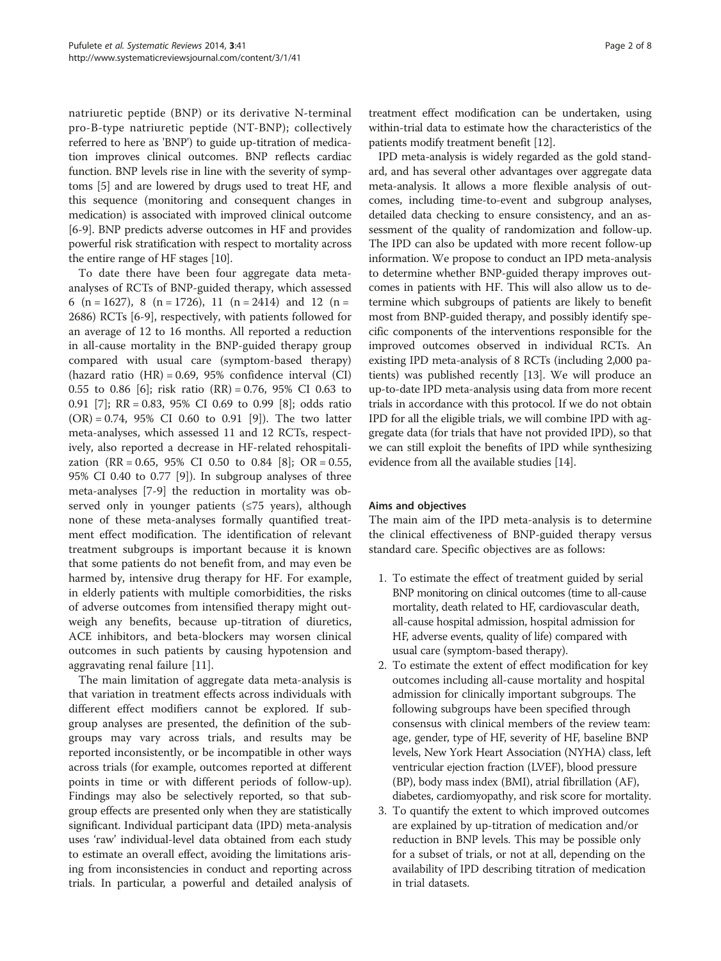natriuretic peptide (BNP) or its derivative N-terminal pro-B-type natriuretic peptide (NT-BNP); collectively referred to here as 'BNP') to guide up-titration of medication improves clinical outcomes. BNP reflects cardiac function. BNP levels rise in line with the severity of symptoms [\[5](#page-6-0)] and are lowered by drugs used to treat HF, and this sequence (monitoring and consequent changes in medication) is associated with improved clinical outcome [[6-9\]](#page-6-0). BNP predicts adverse outcomes in HF and provides powerful risk stratification with respect to mortality across the entire range of HF stages [\[10](#page-6-0)].

To date there have been four aggregate data metaanalyses of RCTs of BNP-guided therapy, which assessed 6 (n = 1627), 8 (n = 1726), 11 (n = 2414) and 12 (n = 2686) RCTs [[6-9](#page-6-0)], respectively, with patients followed for an average of 12 to 16 months. All reported a reduction in all-cause mortality in the BNP-guided therapy group compared with usual care (symptom-based therapy) (hazard ratio  $(HR) = 0.69$ , 95% confidence interval  $(Cl)$ 0.55 to 0.86 [[6\]](#page-6-0); risk ratio (RR) = 0.76, 95% CI 0.63 to 0.91 [[7\]](#page-6-0); RR = 0.83, 95% CI 0.69 to 0.99 [[8](#page-6-0)]; odds ratio  $(OR) = 0.74$ , 95% CI 0.60 to 0.91 [[9\]](#page-6-0)). The two latter meta-analyses, which assessed 11 and 12 RCTs, respectively, also reported a decrease in HF-related rehospitali-zation (RR = 0.65, 95% CI 0.50 to 0.84 [[8\]](#page-6-0); OR = 0.55, 95% CI 0.40 to 0.77 [\[9](#page-6-0)]). In subgroup analyses of three meta-analyses [\[7](#page-6-0)-[9\]](#page-6-0) the reduction in mortality was observed only in younger patients  $(\leq 75$  years), although none of these meta-analyses formally quantified treatment effect modification. The identification of relevant treatment subgroups is important because it is known that some patients do not benefit from, and may even be harmed by, intensive drug therapy for HF. For example, in elderly patients with multiple comorbidities, the risks of adverse outcomes from intensified therapy might outweigh any benefits, because up-titration of diuretics, ACE inhibitors, and beta-blockers may worsen clinical outcomes in such patients by causing hypotension and aggravating renal failure [\[11](#page-6-0)].

The main limitation of aggregate data meta-analysis is that variation in treatment effects across individuals with different effect modifiers cannot be explored. If subgroup analyses are presented, the definition of the subgroups may vary across trials, and results may be reported inconsistently, or be incompatible in other ways across trials (for example, outcomes reported at different points in time or with different periods of follow-up). Findings may also be selectively reported, so that subgroup effects are presented only when they are statistically significant. Individual participant data (IPD) meta-analysis uses 'raw' individual-level data obtained from each study to estimate an overall effect, avoiding the limitations arising from inconsistencies in conduct and reporting across trials. In particular, a powerful and detailed analysis of treatment effect modification can be undertaken, using within-trial data to estimate how the characteristics of the patients modify treatment benefit [\[12\]](#page-6-0).

IPD meta-analysis is widely regarded as the gold standard, and has several other advantages over aggregate data meta-analysis. It allows a more flexible analysis of outcomes, including time-to-event and subgroup analyses, detailed data checking to ensure consistency, and an assessment of the quality of randomization and follow-up. The IPD can also be updated with more recent follow-up information. We propose to conduct an IPD meta-analysis to determine whether BNP-guided therapy improves outcomes in patients with HF. This will also allow us to determine which subgroups of patients are likely to benefit most from BNP-guided therapy, and possibly identify specific components of the interventions responsible for the improved outcomes observed in individual RCTs. An existing IPD meta-analysis of 8 RCTs (including 2,000 patients) was published recently [[13](#page-6-0)]. We will produce an up-to-date IPD meta-analysis using data from more recent trials in accordance with this protocol. If we do not obtain IPD for all the eligible trials, we will combine IPD with aggregate data (for trials that have not provided IPD), so that we can still exploit the benefits of IPD while synthesizing evidence from all the available studies [\[14\]](#page-6-0).

# Aims and objectives

The main aim of the IPD meta-analysis is to determine the clinical effectiveness of BNP-guided therapy versus standard care. Specific objectives are as follows:

- 1. To estimate the effect of treatment guided by serial BNP monitoring on clinical outcomes (time to all-cause mortality, death related to HF, cardiovascular death, all-cause hospital admission, hospital admission for HF, adverse events, quality of life) compared with usual care (symptom-based therapy).
- 2. To estimate the extent of effect modification for key outcomes including all-cause mortality and hospital admission for clinically important subgroups. The following subgroups have been specified through consensus with clinical members of the review team: age, gender, type of HF, severity of HF, baseline BNP levels, New York Heart Association (NYHA) class, left ventricular ejection fraction (LVEF), blood pressure (BP), body mass index (BMI), atrial fibrillation (AF), diabetes, cardiomyopathy, and risk score for mortality.
- 3. To quantify the extent to which improved outcomes are explained by up-titration of medication and/or reduction in BNP levels. This may be possible only for a subset of trials, or not at all, depending on the availability of IPD describing titration of medication in trial datasets.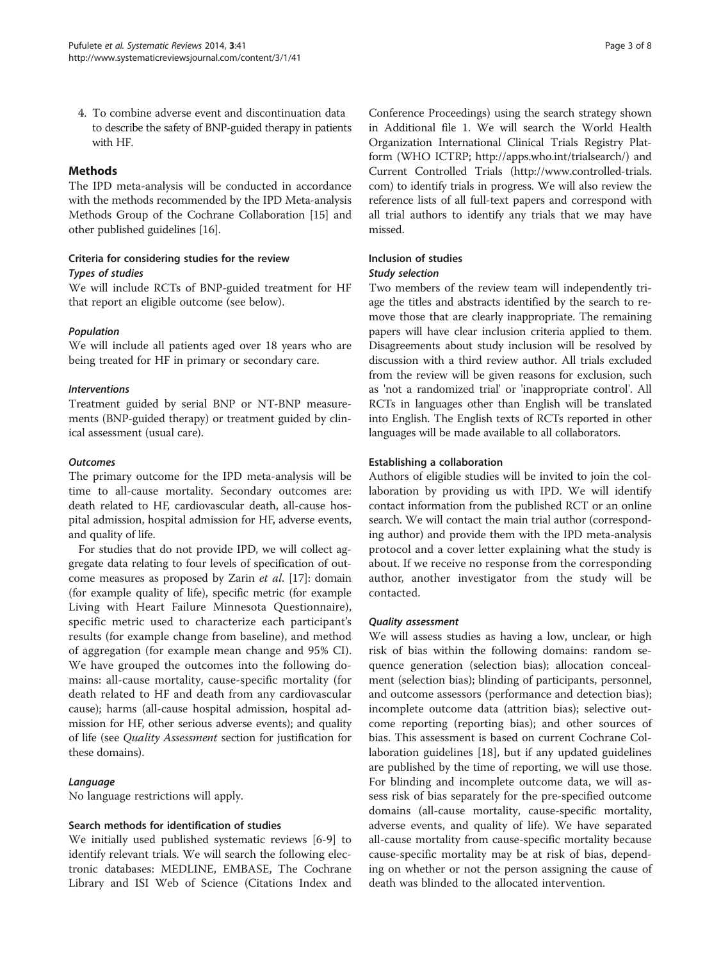4. To combine adverse event and discontinuation data to describe the safety of BNP-guided therapy in patients with HF.

# **Methods**

The IPD meta-analysis will be conducted in accordance with the methods recommended by the IPD Meta-analysis Methods Group of the Cochrane Collaboration [\[15\]](#page-6-0) and other published guidelines [[16](#page-6-0)].

#### Criteria for considering studies for the review Types of studies

We will include RCTs of BNP-guided treatment for HF that report an eligible outcome (see below).

# Population

We will include all patients aged over 18 years who are being treated for HF in primary or secondary care.

#### Interventions

Treatment guided by serial BNP or NT-BNP measurements (BNP-guided therapy) or treatment guided by clinical assessment (usual care).

#### **Outcomes**

The primary outcome for the IPD meta-analysis will be time to all-cause mortality. Secondary outcomes are: death related to HF, cardiovascular death, all-cause hospital admission, hospital admission for HF, adverse events, and quality of life.

For studies that do not provide IPD, we will collect aggregate data relating to four levels of specification of outcome measures as proposed by Zarin et al. [[17](#page-6-0)]: domain (for example quality of life), specific metric (for example Living with Heart Failure Minnesota Questionnaire), specific metric used to characterize each participant's results (for example change from baseline), and method of aggregation (for example mean change and 95% CI). We have grouped the outcomes into the following domains: all-cause mortality, cause-specific mortality (for death related to HF and death from any cardiovascular cause); harms (all-cause hospital admission, hospital admission for HF, other serious adverse events); and quality of life (see Quality Assessment section for justification for these domains).

### Language

No language restrictions will apply.

#### Search methods for identification of studies

We initially used published systematic reviews [\[6](#page-6-0)-[9\]](#page-6-0) to identify relevant trials. We will search the following electronic databases: MEDLINE, EMBASE, The Cochrane Library and ISI Web of Science (Citations Index and Conference Proceedings) using the search strategy shown in Additional file [1.](#page-6-0) We will search the World Health Organization International Clinical Trials Registry Platform (WHO ICTRP; [http://apps.who.int/trialsearch/\)](http://apps.who.int/trialsearch/) and Current Controlled Trials ([http://www.controlled-trials.](http://www.controlled-trials.com) [com](http://www.controlled-trials.com)) to identify trials in progress. We will also review the reference lists of all full-text papers and correspond with all trial authors to identify any trials that we may have missed.

#### Inclusion of studies Study selection

Two members of the review team will independently triage the titles and abstracts identified by the search to remove those that are clearly inappropriate. The remaining papers will have clear inclusion criteria applied to them. Disagreements about study inclusion will be resolved by discussion with a third review author. All trials excluded from the review will be given reasons for exclusion, such as 'not a randomized trial' or 'inappropriate control'. All RCTs in languages other than English will be translated into English. The English texts of RCTs reported in other languages will be made available to all collaborators.

### Establishing a collaboration

Authors of eligible studies will be invited to join the collaboration by providing us with IPD. We will identify contact information from the published RCT or an online search. We will contact the main trial author (corresponding author) and provide them with the IPD meta-analysis protocol and a cover letter explaining what the study is about. If we receive no response from the corresponding author, another investigator from the study will be contacted.

#### Quality assessment

We will assess studies as having a low, unclear, or high risk of bias within the following domains: random sequence generation (selection bias); allocation concealment (selection bias); blinding of participants, personnel, and outcome assessors (performance and detection bias); incomplete outcome data (attrition bias); selective outcome reporting (reporting bias); and other sources of bias. This assessment is based on current Cochrane Collaboration guidelines [[18\]](#page-6-0), but if any updated guidelines are published by the time of reporting, we will use those. For blinding and incomplete outcome data, we will assess risk of bias separately for the pre-specified outcome domains (all-cause mortality, cause-specific mortality, adverse events, and quality of life). We have separated all-cause mortality from cause-specific mortality because cause-specific mortality may be at risk of bias, depending on whether or not the person assigning the cause of death was blinded to the allocated intervention.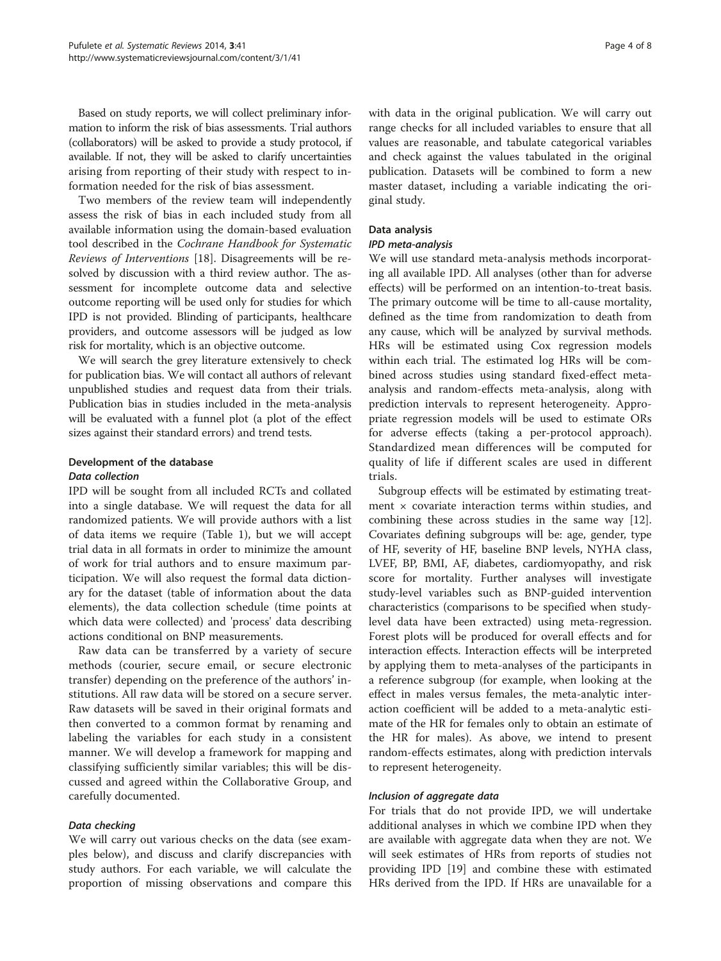Based on study reports, we will collect preliminary information to inform the risk of bias assessments. Trial authors (collaborators) will be asked to provide a study protocol, if available. If not, they will be asked to clarify uncertainties arising from reporting of their study with respect to information needed for the risk of bias assessment.

Two members of the review team will independently assess the risk of bias in each included study from all available information using the domain-based evaluation tool described in the Cochrane Handbook for Systematic Reviews of Interventions [\[18](#page-6-0)]. Disagreements will be resolved by discussion with a third review author. The assessment for incomplete outcome data and selective outcome reporting will be used only for studies for which IPD is not provided. Blinding of participants, healthcare providers, and outcome assessors will be judged as low risk for mortality, which is an objective outcome.

We will search the grey literature extensively to check for publication bias. We will contact all authors of relevant unpublished studies and request data from their trials. Publication bias in studies included in the meta-analysis will be evaluated with a funnel plot (a plot of the effect sizes against their standard errors) and trend tests.

# Development of the database

#### Data collection

IPD will be sought from all included RCTs and collated into a single database. We will request the data for all randomized patients. We will provide authors with a list of data items we require (Table [1\)](#page-4-0), but we will accept trial data in all formats in order to minimize the amount of work for trial authors and to ensure maximum participation. We will also request the formal data dictionary for the dataset (table of information about the data elements), the data collection schedule (time points at which data were collected) and 'process' data describing actions conditional on BNP measurements.

Raw data can be transferred by a variety of secure methods (courier, secure email, or secure electronic transfer) depending on the preference of the authors' institutions. All raw data will be stored on a secure server. Raw datasets will be saved in their original formats and then converted to a common format by renaming and labeling the variables for each study in a consistent manner. We will develop a framework for mapping and classifying sufficiently similar variables; this will be discussed and agreed within the Collaborative Group, and carefully documented.

#### Data checking

We will carry out various checks on the data (see examples below), and discuss and clarify discrepancies with study authors. For each variable, we will calculate the proportion of missing observations and compare this with data in the original publication. We will carry out range checks for all included variables to ensure that all values are reasonable, and tabulate categorical variables and check against the values tabulated in the original publication. Datasets will be combined to form a new master dataset, including a variable indicating the original study.

#### Data analysis

# IPD meta-analysis

We will use standard meta-analysis methods incorporating all available IPD. All analyses (other than for adverse effects) will be performed on an intention-to-treat basis. The primary outcome will be time to all-cause mortality, defined as the time from randomization to death from any cause, which will be analyzed by survival methods. HRs will be estimated using Cox regression models within each trial. The estimated log HRs will be combined across studies using standard fixed-effect metaanalysis and random-effects meta-analysis, along with prediction intervals to represent heterogeneity. Appropriate regression models will be used to estimate ORs for adverse effects (taking a per-protocol approach). Standardized mean differences will be computed for quality of life if different scales are used in different trials.

Subgroup effects will be estimated by estimating treatment  $\times$  covariate interaction terms within studies, and combining these across studies in the same way [\[12](#page-6-0)]. Covariates defining subgroups will be: age, gender, type of HF, severity of HF, baseline BNP levels, NYHA class, LVEF, BP, BMI, AF, diabetes, cardiomyopathy, and risk score for mortality. Further analyses will investigate study-level variables such as BNP-guided intervention characteristics (comparisons to be specified when studylevel data have been extracted) using meta-regression. Forest plots will be produced for overall effects and for interaction effects. Interaction effects will be interpreted by applying them to meta-analyses of the participants in a reference subgroup (for example, when looking at the effect in males versus females, the meta-analytic interaction coefficient will be added to a meta-analytic estimate of the HR for females only to obtain an estimate of the HR for males). As above, we intend to present random-effects estimates, along with prediction intervals to represent heterogeneity.

#### Inclusion of aggregate data

For trials that do not provide IPD, we will undertake additional analyses in which we combine IPD when they are available with aggregate data when they are not. We will seek estimates of HRs from reports of studies not providing IPD [[19](#page-6-0)] and combine these with estimated HRs derived from the IPD. If HRs are unavailable for a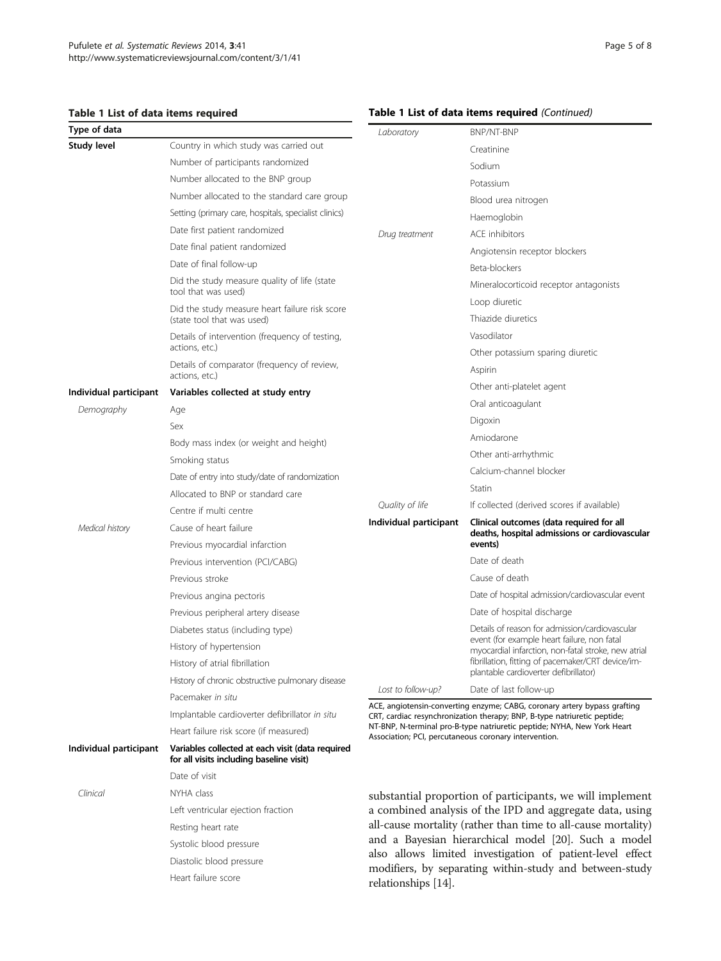#### <span id="page-4-0"></span>Table 1 List of data items required

| Type of data           |                                                                                              | Laboratory                                                                                                                                                                                                                                                                                                                                                                                                                                                                                                                                   | BNP/NT-BNP                                                                                           |
|------------------------|----------------------------------------------------------------------------------------------|----------------------------------------------------------------------------------------------------------------------------------------------------------------------------------------------------------------------------------------------------------------------------------------------------------------------------------------------------------------------------------------------------------------------------------------------------------------------------------------------------------------------------------------------|------------------------------------------------------------------------------------------------------|
| Study level            | Country in which study was carried out                                                       |                                                                                                                                                                                                                                                                                                                                                                                                                                                                                                                                              | Creatinine                                                                                           |
|                        | Number of participants randomized                                                            |                                                                                                                                                                                                                                                                                                                                                                                                                                                                                                                                              | Sodium                                                                                               |
|                        | Number allocated to the BNP group                                                            |                                                                                                                                                                                                                                                                                                                                                                                                                                                                                                                                              | Potassium                                                                                            |
|                        | Number allocated to the standard care group                                                  |                                                                                                                                                                                                                                                                                                                                                                                                                                                                                                                                              | Blood urea nitrogen                                                                                  |
|                        | Setting (primary care, hospitals, specialist clinics)                                        |                                                                                                                                                                                                                                                                                                                                                                                                                                                                                                                                              | Haemoglobin                                                                                          |
|                        | Date first patient randomized                                                                | Drug treatment                                                                                                                                                                                                                                                                                                                                                                                                                                                                                                                               | <b>ACE</b> inhibitors                                                                                |
|                        | Date final patient randomized                                                                |                                                                                                                                                                                                                                                                                                                                                                                                                                                                                                                                              | Angiotensin receptor blockers                                                                        |
|                        | Date of final follow-up                                                                      |                                                                                                                                                                                                                                                                                                                                                                                                                                                                                                                                              | Beta-blockers                                                                                        |
|                        | Did the study measure quality of life (state<br>tool that was used)                          |                                                                                                                                                                                                                                                                                                                                                                                                                                                                                                                                              | Mineralocorticoid receptor antagonists                                                               |
|                        | Did the study measure heart failure risk score<br>(state tool that was used)                 |                                                                                                                                                                                                                                                                                                                                                                                                                                                                                                                                              | Loop diuretic<br>Thiazide diuretics                                                                  |
|                        | Details of intervention (frequency of testing,                                               |                                                                                                                                                                                                                                                                                                                                                                                                                                                                                                                                              | Vasodilator                                                                                          |
|                        | actions, etc.)                                                                               |                                                                                                                                                                                                                                                                                                                                                                                                                                                                                                                                              | Other potassium sparing diuretic                                                                     |
|                        | Details of comparator (frequency of review,<br>actions, etc.)                                |                                                                                                                                                                                                                                                                                                                                                                                                                                                                                                                                              | Aspirin                                                                                              |
| Individual participant | Variables collected at study entry                                                           |                                                                                                                                                                                                                                                                                                                                                                                                                                                                                                                                              | Other anti-platelet agent                                                                            |
| Demography             | Age                                                                                          |                                                                                                                                                                                                                                                                                                                                                                                                                                                                                                                                              | Oral anticoagulant                                                                                   |
|                        | Sex                                                                                          |                                                                                                                                                                                                                                                                                                                                                                                                                                                                                                                                              | Digoxin                                                                                              |
|                        | Body mass index (or weight and height)                                                       |                                                                                                                                                                                                                                                                                                                                                                                                                                                                                                                                              | Amiodarone                                                                                           |
|                        | Smoking status                                                                               |                                                                                                                                                                                                                                                                                                                                                                                                                                                                                                                                              | Other anti-arrhythmic                                                                                |
|                        | Date of entry into study/date of randomization                                               |                                                                                                                                                                                                                                                                                                                                                                                                                                                                                                                                              | Calcium-channel blocker                                                                              |
|                        | Allocated to BNP or standard care                                                            |                                                                                                                                                                                                                                                                                                                                                                                                                                                                                                                                              | Statin                                                                                               |
|                        | Centre if multi centre                                                                       | Quality of life                                                                                                                                                                                                                                                                                                                                                                                                                                                                                                                              | If collected (derived scores if available)                                                           |
| Medical history        | Cause of heart failure                                                                       | Individual participant                                                                                                                                                                                                                                                                                                                                                                                                                                                                                                                       | Clinical outcomes (data required for all<br>deaths, hospital admissions or cardiovascular<br>events) |
|                        | Previous myocardial infarction                                                               |                                                                                                                                                                                                                                                                                                                                                                                                                                                                                                                                              |                                                                                                      |
|                        | Previous intervention (PCI/CABG)                                                             |                                                                                                                                                                                                                                                                                                                                                                                                                                                                                                                                              | Date of death                                                                                        |
|                        | Previous stroke                                                                              |                                                                                                                                                                                                                                                                                                                                                                                                                                                                                                                                              | Cause of death                                                                                       |
|                        | Previous angina pectoris                                                                     | Date of hospital admission/cardiovascular event<br>Date of hospital discharge<br>Details of reason for admission/cardiovascular<br>event (for example heart failure, non fatal<br>myocardial infarction, non-fatal stroke, new atrial<br>fibrillation, fitting of pacemaker/CRT device/im-<br>plantable cardioverter defibrillator)<br>Lost to follow-up?<br>Date of last follow-up<br>ACE, angiotensin-converting enzyme; CABG, coronary artery bypass grafting<br>CRT, cardiac resynchronization therapy; BNP, B-type natriuretic peptide; |                                                                                                      |
|                        | Previous peripheral artery disease                                                           |                                                                                                                                                                                                                                                                                                                                                                                                                                                                                                                                              |                                                                                                      |
|                        | Diabetes status (including type)                                                             |                                                                                                                                                                                                                                                                                                                                                                                                                                                                                                                                              |                                                                                                      |
|                        | History of hypertension                                                                      |                                                                                                                                                                                                                                                                                                                                                                                                                                                                                                                                              |                                                                                                      |
|                        | History of atrial fibrillation                                                               |                                                                                                                                                                                                                                                                                                                                                                                                                                                                                                                                              |                                                                                                      |
|                        | History of chronic obstructive pulmonary disease                                             |                                                                                                                                                                                                                                                                                                                                                                                                                                                                                                                                              |                                                                                                      |
|                        | Pacemaker in situ                                                                            |                                                                                                                                                                                                                                                                                                                                                                                                                                                                                                                                              |                                                                                                      |
|                        | Implantable cardioverter defibrillator in situ                                               |                                                                                                                                                                                                                                                                                                                                                                                                                                                                                                                                              |                                                                                                      |
|                        | Heart failure risk score (if measured)                                                       | NT-BNP, N-terminal pro-B-type natriuretic peptide; NYHA, New York Heart<br>Association; PCI, percutaneous coronary intervention.                                                                                                                                                                                                                                                                                                                                                                                                             |                                                                                                      |
| Individual participant | Variables collected at each visit (data required<br>for all visits including baseline visit) |                                                                                                                                                                                                                                                                                                                                                                                                                                                                                                                                              |                                                                                                      |
|                        | Date of visit                                                                                |                                                                                                                                                                                                                                                                                                                                                                                                                                                                                                                                              |                                                                                                      |
| Clinical               | NYHA class                                                                                   |                                                                                                                                                                                                                                                                                                                                                                                                                                                                                                                                              | substantial proportion of participants, we will implement                                            |

Left ventricular ejection fraction

Resting heart rate Systolic blood pressure Diastolic blood pressure Heart failure score

# Table 1 List of data items required (Continued)

substantial proportion of participants, we will implement a combined analysis of the IPD and aggregate data, using all-cause mortality (rather than time to all-cause mortality) and a Bayesian hierarchical model [\[20\]](#page-6-0). Such a model also allows limited investigation of patient-level effect modifiers, by separating within-study and between-study relationships [[14](#page-6-0)].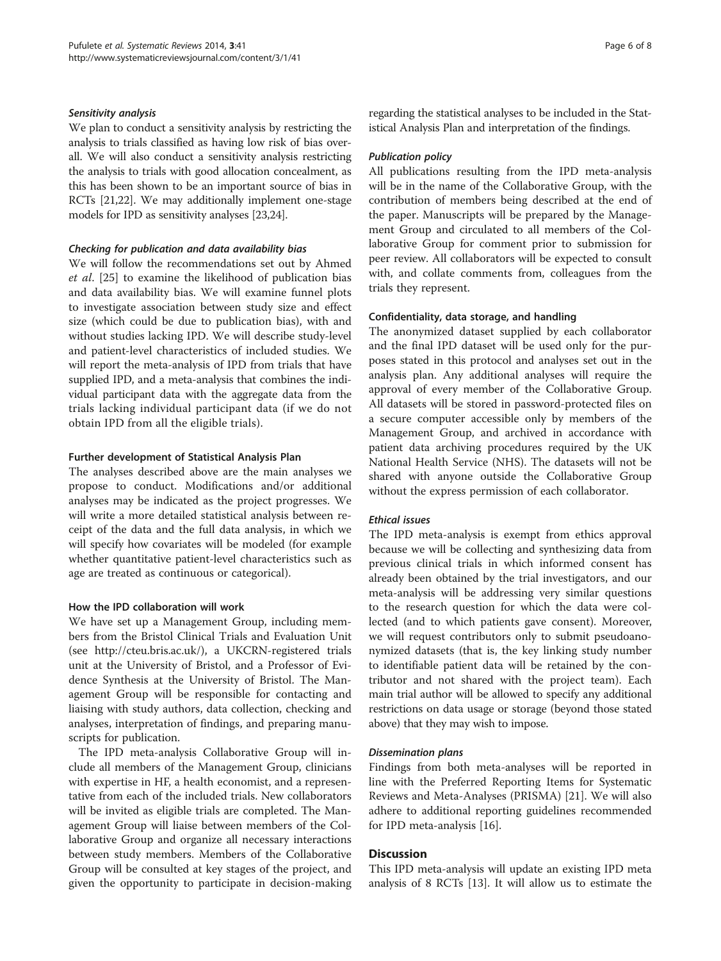#### Sensitivity analysis

We plan to conduct a sensitivity analysis by restricting the analysis to trials classified as having low risk of bias overall. We will also conduct a sensitivity analysis restricting the analysis to trials with good allocation concealment, as this has been shown to be an important source of bias in RCTs [[21,22](#page-6-0)]. We may additionally implement one-stage models for IPD as sensitivity analyses [\[23,](#page-6-0)[24\]](#page-7-0).

#### Checking for publication and data availability bias

We will follow the recommendations set out by Ahmed et al. [\[25\]](#page-7-0) to examine the likelihood of publication bias and data availability bias. We will examine funnel plots to investigate association between study size and effect size (which could be due to publication bias), with and without studies lacking IPD. We will describe study-level and patient-level characteristics of included studies. We will report the meta-analysis of IPD from trials that have supplied IPD, and a meta-analysis that combines the individual participant data with the aggregate data from the trials lacking individual participant data (if we do not obtain IPD from all the eligible trials).

#### Further development of Statistical Analysis Plan

The analyses described above are the main analyses we propose to conduct. Modifications and/or additional analyses may be indicated as the project progresses. We will write a more detailed statistical analysis between receipt of the data and the full data analysis, in which we will specify how covariates will be modeled (for example whether quantitative patient-level characteristics such as age are treated as continuous or categorical).

# How the IPD collaboration will work

We have set up a Management Group, including members from the Bristol Clinical Trials and Evaluation Unit (see [http://cteu.bris.ac.uk/\)](http://cteu.bris.ac.uk/), a UKCRN-registered trials unit at the University of Bristol, and a Professor of Evidence Synthesis at the University of Bristol. The Management Group will be responsible for contacting and liaising with study authors, data collection, checking and analyses, interpretation of findings, and preparing manuscripts for publication.

The IPD meta-analysis Collaborative Group will include all members of the Management Group, clinicians with expertise in HF, a health economist, and a representative from each of the included trials. New collaborators will be invited as eligible trials are completed. The Management Group will liaise between members of the Collaborative Group and organize all necessary interactions between study members. Members of the Collaborative Group will be consulted at key stages of the project, and given the opportunity to participate in decision-making

regarding the statistical analyses to be included in the Statistical Analysis Plan and interpretation of the findings.

#### Publication policy

All publications resulting from the IPD meta-analysis will be in the name of the Collaborative Group, with the contribution of members being described at the end of the paper. Manuscripts will be prepared by the Management Group and circulated to all members of the Collaborative Group for comment prior to submission for peer review. All collaborators will be expected to consult with, and collate comments from, colleagues from the trials they represent.

#### Confidentiality, data storage, and handling

The anonymized dataset supplied by each collaborator and the final IPD dataset will be used only for the purposes stated in this protocol and analyses set out in the analysis plan. Any additional analyses will require the approval of every member of the Collaborative Group. All datasets will be stored in password-protected files on a secure computer accessible only by members of the Management Group, and archived in accordance with patient data archiving procedures required by the UK National Health Service (NHS). The datasets will not be shared with anyone outside the Collaborative Group without the express permission of each collaborator.

# Ethical issues

The IPD meta-analysis is exempt from ethics approval because we will be collecting and synthesizing data from previous clinical trials in which informed consent has already been obtained by the trial investigators, and our meta-analysis will be addressing very similar questions to the research question for which the data were collected (and to which patients gave consent). Moreover, we will request contributors only to submit pseudoanonymized datasets (that is, the key linking study number to identifiable patient data will be retained by the contributor and not shared with the project team). Each main trial author will be allowed to specify any additional restrictions on data usage or storage (beyond those stated above) that they may wish to impose.

# Dissemination plans

Findings from both meta-analyses will be reported in line with the Preferred Reporting Items for Systematic Reviews and Meta-Analyses (PRISMA) [[21\]](#page-6-0). We will also adhere to additional reporting guidelines recommended for IPD meta-analysis [\[16](#page-6-0)].

# Discussion

This IPD meta-analysis will update an existing IPD meta analysis of 8 RCTs [[13\]](#page-6-0). It will allow us to estimate the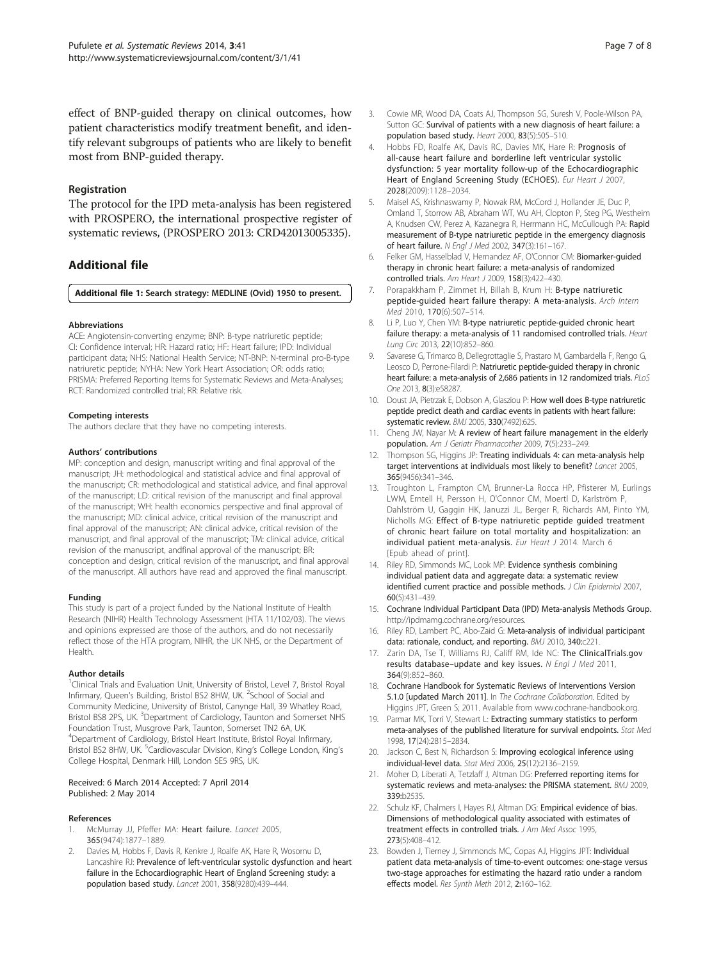<span id="page-6-0"></span>effect of BNP-guided therapy on clinical outcomes, how patient characteristics modify treatment benefit, and identify relevant subgroups of patients who are likely to benefit most from BNP-guided therapy.

#### Registration

The protocol for the IPD meta-analysis has been registered with PROSPERO, the international prospective register of systematic reviews, (PROSPERO 2013: CRD42013005335).

# Additional file

#### [Additional file 1:](http://www.biomedcentral.com/content/supplementary/2046-4053-3-41-S1.doc) Search strategy: MEDLINE (Ovid) 1950 to present.

#### Abbreviations

ACE: Angiotensin-converting enzyme; BNP: B-type natriuretic peptide; CI: Confidence interval; HR: Hazard ratio; HF: Heart failure; IPD: Individual participant data; NHS: National Health Service; NT-BNP: N-terminal pro-B-type natriuretic peptide; NYHA: New York Heart Association; OR: odds ratio; PRISMA: Preferred Reporting Items for Systematic Reviews and Meta-Analyses; RCT: Randomized controlled trial; RR: Relative risk.

#### Competing interests

The authors declare that they have no competing interests.

#### Authors' contributions

MP: conception and design, manuscript writing and final approval of the manuscript; JH: methodological and statistical advice and final approval of the manuscript; CR: methodological and statistical advice, and final approval of the manuscript; LD: critical revision of the manuscript and final approval of the manuscript; WH: health economics perspective and final approval of the manuscript; MD: clinical advice, critical revision of the manuscript and final approval of the manuscript; AN: clinical advice, critical revision of the manuscript, and final approval of the manuscript; TM: clinical advice, critical revision of the manuscript, andfinal approval of the manuscript; BR: conception and design, critical revision of the manuscript, and final approval of the manuscript. All authors have read and approved the final manuscript.

#### Funding

This study is part of a project funded by the National Institute of Health Research (NIHR) Health Technology Assessment (HTA 11/102/03). The views and opinions expressed are those of the authors, and do not necessarily reflect those of the HTA program, NIHR, the UK NHS, or the Department of Health.

#### Author details

<sup>1</sup>Clinical Trials and Evaluation Unit, University of Bristol, Level 7, Bristol Royal Infirmary, Queen's Building, Bristol BS2 8HW, UK. <sup>2</sup>School of Social and Community Medicine, University of Bristol, Canynge Hall, 39 Whatley Road, Bristol BS8 2PS, UK. <sup>3</sup>Department of Cardiology, Taunton and Somerset NHS Foundation Trust, Musgrove Park, Taunton, Somerset TN2 6A, UK. 4 Department of Cardiology, Bristol Heart Institute, Bristol Royal Infirmary, Bristol BS2 8HW, UK. <sup>5</sup>Cardiovascular Division, King's College London, King's College Hospital, Denmark Hill, London SE5 9RS, UK.

#### Received: 6 March 2014 Accepted: 7 April 2014 Published: 2 May 2014

#### References

- McMurray JJ, Pfeffer MA: Heart failure. Lancet 2005, 365(9474):1877–1889.
- 2. Davies M, Hobbs F, Davis R, Kenkre J, Roalfe AK, Hare R, Wosornu D, Lancashire RJ: Prevalence of left-ventricular systolic dysfunction and heart failure in the Echocardiographic Heart of England Screening study: a population based study. Lancet 2001, 358(9280):439–444.
- 3. Cowie MR, Wood DA, Coats AJ, Thompson SG, Suresh V, Poole-Wilson PA, Sutton GC: Survival of patients with a new diagnosis of heart failure: a population based study. Heart 2000, 83(5):505–510.
- 4. Hobbs FD, Roalfe AK, Davis RC, Davies MK, Hare R: Prognosis of all-cause heart failure and borderline left ventricular systolic dysfunction: 5 year mortality follow-up of the Echocardiographic Heart of England Screening Study (ECHOES). Eur Heart J 2007, 2028(2009):1128–2034.
- 5. Maisel AS, Krishnaswamy P, Nowak RM, McCord J, Hollander JE, Duc P, Omland T, Storrow AB, Abraham WT, Wu AH, Clopton P, Steg PG, Westheim A, Knudsen CW, Perez A, Kazanegra R, Herrmann HC, McCullough PA: Rapid measurement of B-type natriuretic peptide in the emergency diagnosis of heart failure. N Engl J Med 2002, 347(3):161–167.
- 6. Felker GM, Hasselblad V, Hernandez AF, O'Connor CM: Biomarker-guided therapy in chronic heart failure: a meta-analysis of randomized controlled trials. Am Heart J 2009, 158(3):422–430.
- 7. Porapakkham P, Zimmet H, Billah B, Krum H: B-type natriuretic peptide-guided heart failure therapy: A meta-analysis. Arch Intern Med 2010, 170(6):507–514.
- 8. Li P, Luo Y, Chen YM: B-type natriuretic peptide-guided chronic heart failure therapy: a meta-analysis of 11 randomised controlled trials. Heart Lung Circ 2013, 22(10):852–860.
- 9. Savarese G, Trimarco B, Dellegrottaglie S, Prastaro M, Gambardella F, Rengo G, Leosco D, Perrone-Filardi P: Natriuretic peptide-guided therapy in chronic heart failure: a meta-analysis of 2,686 patients in 12 randomized trials. PLoS One 2013, 8(3):e58287.
- 10. Doust JA, Pietrzak E, Dobson A, Glasziou P: How well does B-type natriuretic peptide predict death and cardiac events in patients with heart failure: systematic review. BMJ 2005, 330(7492):625.
- 11. Cheng JW, Nayar M: A review of heart failure management in the elderly population. Am J Geriatr Pharmacother 2009, 7(5):233–249.
- 12. Thompson SG, Higgins JP: Treating individuals 4: can meta-analysis help target interventions at individuals most likely to benefit? Lancet 2005, 365(9456):341–346.
- 13. Troughton L, Frampton CM, Brunner-La Rocca HP, Pfisterer M, Eurlings LWM, Erntell H, Persson H, O'Connor CM, Moertl D, Karlström P, Dahlström U, Gaggin HK, Januzzi JL, Berger R, Richards AM, Pinto YM, Nicholls MG: Effect of B-type natriuretic peptide guided treatment of chronic heart failure on total mortality and hospitalization: an individual patient meta-analysis. Eur Heart J 2014. March 6 [Epub ahead of print].
- 14. Riley RD, Simmonds MC, Look MP: Evidence synthesis combining individual patient data and aggregate data: a systematic review identified current practice and possible methods. J Clin Epidemiol 2007, 60(5):431–439.
- 15. Cochrane Individual Participant Data (IPD) Meta-analysis Methods Group. http://ipdmamg.cochrane.org/resources.
- 16. Riley RD, Lambert PC, Abo-Zaid G: Meta-analysis of individual participant data: rationale, conduct, and reporting. BMJ 2010, 340:c221.
- 17. Zarin DA, Tse T, Williams RJ, Califf RM, Ide NC: The ClinicalTrials.gov results database–update and key issues. N Engl J Med 2011, 364(9):852–860.
- 18. Cochrane Handbook for Systematic Reviews of Interventions Version 5.1.0 [updated March 2011]. In The Cochrane Collaboration. Edited by Higgins JPT, Green S; 2011. Available from www.cochrane-handbook.org.
- 19. Parmar MK, Torri V, Stewart L: Extracting summary statistics to perform meta-analyses of the published literature for survival endpoints. Stat Med 1998, 17(24):2815–2834.
- 20. Jackson C, Best N, Richardson S: Improving ecological inference using individual-level data. Stat Med 2006, 25(12):2136–2159.
- 21. Moher D, Liberati A, Tetzlaff J, Altman DG: Preferred reporting items for systematic reviews and meta-analyses: the PRISMA statement. BMJ 2009, 339:b2535.
- 22. Schulz KF, Chalmers I, Hayes RJ, Altman DG: Empirical evidence of bias. Dimensions of methodological quality associated with estimates of treatment effects in controlled trials. J Am Med Assoc 1995, 273(5):408–412.
- 23. Bowden J, Tierney J, Simmonds MC, Copas AJ, Higgins JPT: Individual patient data meta-analysis of time-to-event outcomes: one-stage versus two-stage approaches for estimating the hazard ratio under a random effects model. Res Synth Meth 2012, 2:160–162.